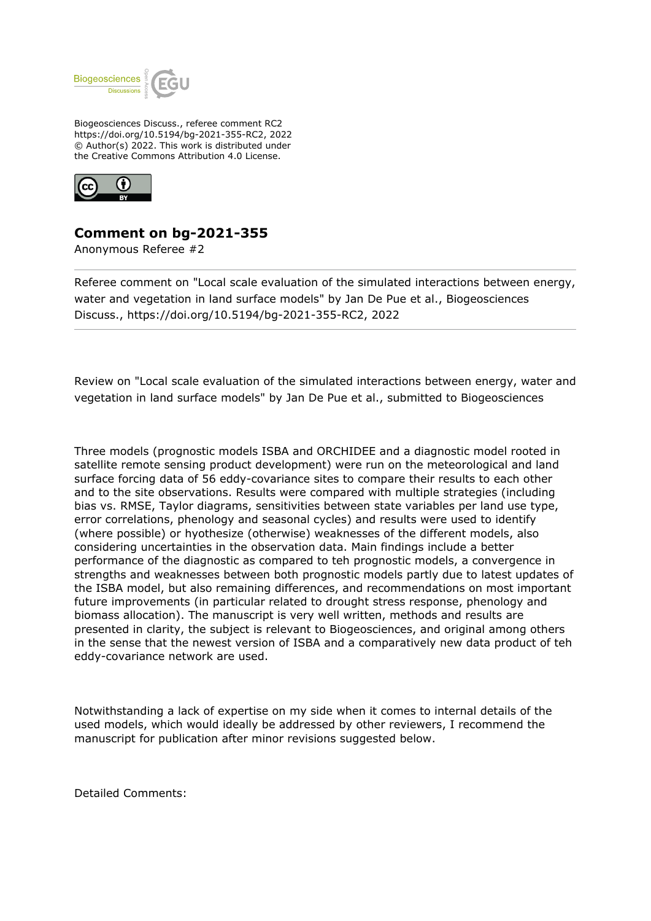

Biogeosciences Discuss., referee comment RC2 https://doi.org/10.5194/bg-2021-355-RC2, 2022 © Author(s) 2022. This work is distributed under the Creative Commons Attribution 4.0 License.



## **Comment on bg-2021-355**

Anonymous Referee #2

Referee comment on "Local scale evaluation of the simulated interactions between energy, water and vegetation in land surface models" by Jan De Pue et al., Biogeosciences Discuss., https://doi.org/10.5194/bg-2021-355-RC2, 2022

Review on "Local scale evaluation of the simulated interactions between energy, water and vegetation in land surface models" by Jan De Pue et al., submitted to Biogeosciences

Three models (prognostic models ISBA and ORCHIDEE and a diagnostic model rooted in satellite remote sensing product development) were run on the meteorological and land surface forcing data of 56 eddy-covariance sites to compare their results to each other and to the site observations. Results were compared with multiple strategies (including bias vs. RMSE, Taylor diagrams, sensitivities between state variables per land use type, error correlations, phenology and seasonal cycles) and results were used to identify (where possible) or hyothesize (otherwise) weaknesses of the different models, also considering uncertainties in the observation data. Main findings include a better performance of the diagnostic as compared to teh prognostic models, a convergence in strengths and weaknesses between both prognostic models partly due to latest updates of the ISBA model, but also remaining differences, and recommendations on most important future improvements (in particular related to drought stress response, phenology and biomass allocation). The manuscript is very well written, methods and results are presented in clarity, the subject is relevant to Biogeosciences, and original among others in the sense that the newest version of ISBA and a comparatively new data product of teh eddy-covariance network are used.

Notwithstanding a lack of expertise on my side when it comes to internal details of the used models, which would ideally be addressed by other reviewers, I recommend the manuscript for publication after minor revisions suggested below.

Detailed Comments: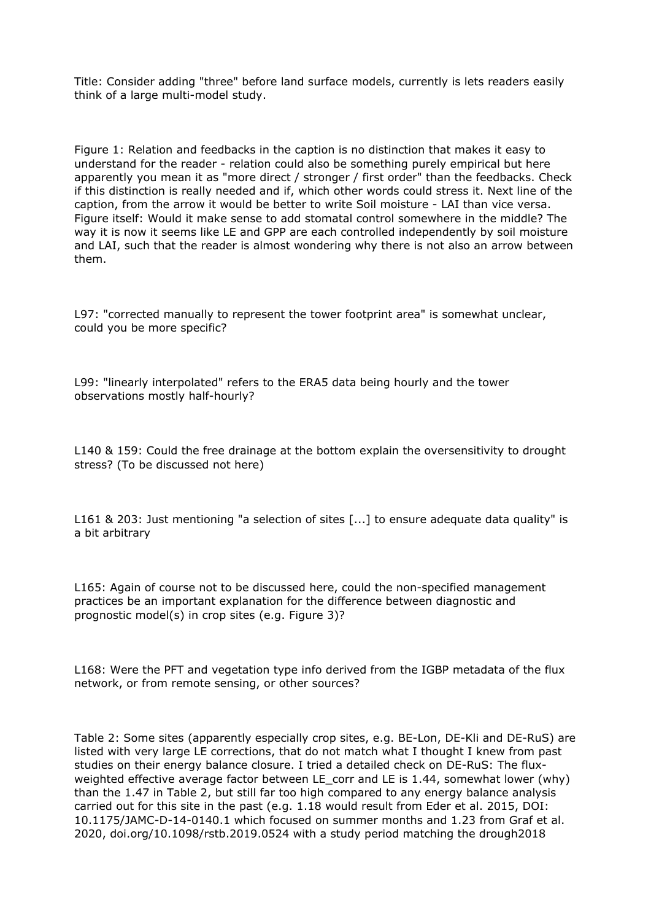Title: Consider adding "three" before land surface models, currently is lets readers easily think of a large multi-model study.

Figure 1: Relation and feedbacks in the caption is no distinction that makes it easy to understand for the reader - relation could also be something purely empirical but here apparently you mean it as "more direct / stronger / first order" than the feedbacks. Check if this distinction is really needed and if, which other words could stress it. Next line of the caption, from the arrow it would be better to write Soil moisture - LAI than vice versa. Figure itself: Would it make sense to add stomatal control somewhere in the middle? The way it is now it seems like LE and GPP are each controlled independently by soil moisture and LAI, such that the reader is almost wondering why there is not also an arrow between them.

L97: "corrected manually to represent the tower footprint area" is somewhat unclear, could you be more specific?

L99: "linearly interpolated" refers to the ERA5 data being hourly and the tower observations mostly half-hourly?

L140 & 159: Could the free drainage at the bottom explain the oversensitivity to drought stress? (To be discussed not here)

L161 & 203: Just mentioning "a selection of sites [...] to ensure adequate data quality" is a bit arbitrary

L165: Again of course not to be discussed here, could the non-specified management practices be an important explanation for the difference between diagnostic and prognostic model(s) in crop sites (e.g. Figure 3)?

L168: Were the PFT and vegetation type info derived from the IGBP metadata of the flux network, or from remote sensing, or other sources?

Table 2: Some sites (apparently especially crop sites, e.g. BE-Lon, DE-Kli and DE-RuS) are listed with very large LE corrections, that do not match what I thought I knew from past studies on their energy balance closure. I tried a detailed check on DE-RuS: The fluxweighted effective average factor between LE corr and LE is 1.44, somewhat lower (why) than the 1.47 in Table 2, but still far too high compared to any energy balance analysis carried out for this site in the past (e.g. 1.18 would result from Eder et al. 2015, DOI: 10.1175/JAMC-D-14-0140.1 which focused on summer months and 1.23 from Graf et al. 2020, doi.org/10.1098/rstb.2019.0524 with a study period matching the drough2018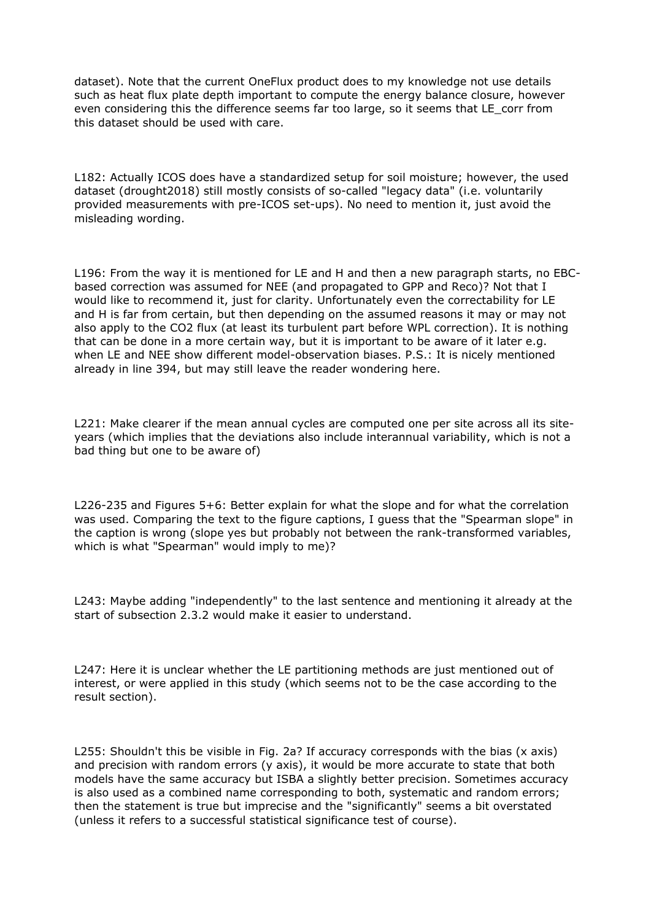dataset). Note that the current OneFlux product does to my knowledge not use details such as heat flux plate depth important to compute the energy balance closure, however even considering this the difference seems far too large, so it seems that LE\_corr from this dataset should be used with care.

L182: Actually ICOS does have a standardized setup for soil moisture; however, the used dataset (drought2018) still mostly consists of so-called "legacy data" (i.e. voluntarily provided measurements with pre-ICOS set-ups). No need to mention it, just avoid the misleading wording.

L196: From the way it is mentioned for LE and H and then a new paragraph starts, no EBCbased correction was assumed for NEE (and propagated to GPP and Reco)? Not that I would like to recommend it, just for clarity. Unfortunately even the correctability for LE and H is far from certain, but then depending on the assumed reasons it may or may not also apply to the CO2 flux (at least its turbulent part before WPL correction). It is nothing that can be done in a more certain way, but it is important to be aware of it later e.g. when LE and NEE show different model-observation biases. P.S.: It is nicely mentioned already in line 394, but may still leave the reader wondering here.

L221: Make clearer if the mean annual cycles are computed one per site across all its siteyears (which implies that the deviations also include interannual variability, which is not a bad thing but one to be aware of)

L226-235 and Figures 5+6: Better explain for what the slope and for what the correlation was used. Comparing the text to the figure captions, I guess that the "Spearman slope" in the caption is wrong (slope yes but probably not between the rank-transformed variables, which is what "Spearman" would imply to me)?

L243: Maybe adding "independently" to the last sentence and mentioning it already at the start of subsection 2.3.2 would make it easier to understand.

L247: Here it is unclear whether the LE partitioning methods are just mentioned out of interest, or were applied in this study (which seems not to be the case according to the result section).

L255: Shouldn't this be visible in Fig. 2a? If accuracy corresponds with the bias (x axis) and precision with random errors (y axis), it would be more accurate to state that both models have the same accuracy but ISBA a slightly better precision. Sometimes accuracy is also used as a combined name corresponding to both, systematic and random errors; then the statement is true but imprecise and the "significantly" seems a bit overstated (unless it refers to a successful statistical significance test of course).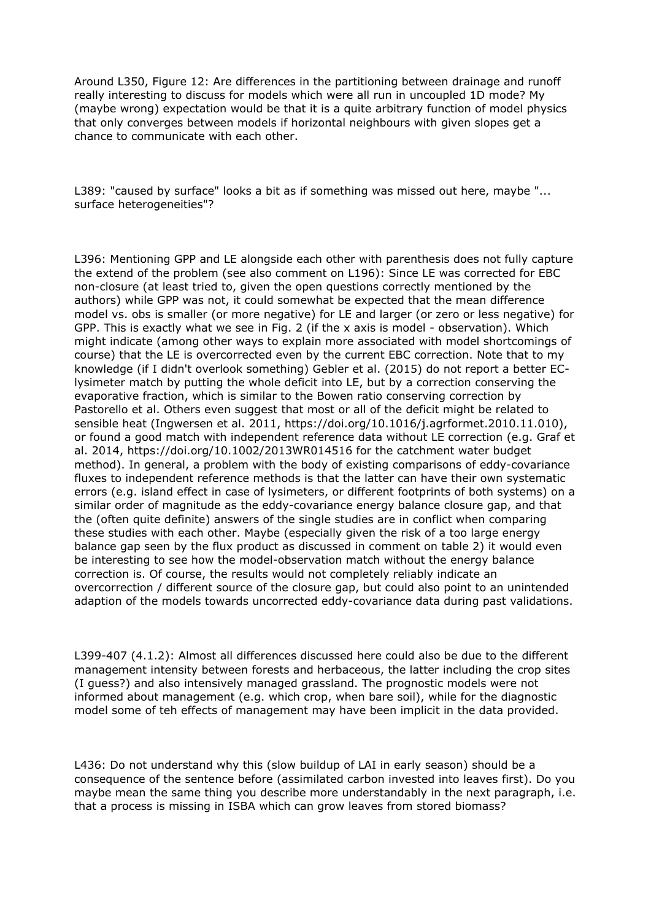Around L350, Figure 12: Are differences in the partitioning between drainage and runoff really interesting to discuss for models which were all run in uncoupled 1D mode? My (maybe wrong) expectation would be that it is a quite arbitrary function of model physics that only converges between models if horizontal neighbours with given slopes get a chance to communicate with each other.

L389: "caused by surface" looks a bit as if something was missed out here, maybe "... surface heterogeneities"?

L396: Mentioning GPP and LE alongside each other with parenthesis does not fully capture the extend of the problem (see also comment on L196): Since LE was corrected for EBC non-closure (at least tried to, given the open questions correctly mentioned by the authors) while GPP was not, it could somewhat be expected that the mean difference model vs. obs is smaller (or more negative) for LE and larger (or zero or less negative) for GPP. This is exactly what we see in Fig. 2 (if the x axis is model - observation). Which might indicate (among other ways to explain more associated with model shortcomings of course) that the LE is overcorrected even by the current EBC correction. Note that to my knowledge (if I didn't overlook something) Gebler et al. (2015) do not report a better EClysimeter match by putting the whole deficit into LE, but by a correction conserving the evaporative fraction, which is similar to the Bowen ratio conserving correction by Pastorello et al. Others even suggest that most or all of the deficit might be related to sensible heat (Ingwersen et al. 2011, https://doi.org/10.1016/j.agrformet.2010.11.010), or found a good match with independent reference data without LE correction (e.g. Graf et al. 2014, https://doi.org/10.1002/2013WR014516 for the catchment water budget method). In general, a problem with the body of existing comparisons of eddy-covariance fluxes to independent reference methods is that the latter can have their own systematic errors (e.g. island effect in case of lysimeters, or different footprints of both systems) on a similar order of magnitude as the eddy-covariance energy balance closure gap, and that the (often quite definite) answers of the single studies are in conflict when comparing these studies with each other. Maybe (especially given the risk of a too large energy balance gap seen by the flux product as discussed in comment on table 2) it would even be interesting to see how the model-observation match without the energy balance correction is. Of course, the results would not completely reliably indicate an overcorrection / different source of the closure gap, but could also point to an unintended adaption of the models towards uncorrected eddy-covariance data during past validations.

L399-407 (4.1.2): Almost all differences discussed here could also be due to the different management intensity between forests and herbaceous, the latter including the crop sites (I guess?) and also intensively managed grassland. The prognostic models were not informed about management (e.g. which crop, when bare soil), while for the diagnostic model some of teh effects of management may have been implicit in the data provided.

L436: Do not understand why this (slow buildup of LAI in early season) should be a consequence of the sentence before (assimilated carbon invested into leaves first). Do you maybe mean the same thing you describe more understandably in the next paragraph, i.e. that a process is missing in ISBA which can grow leaves from stored biomass?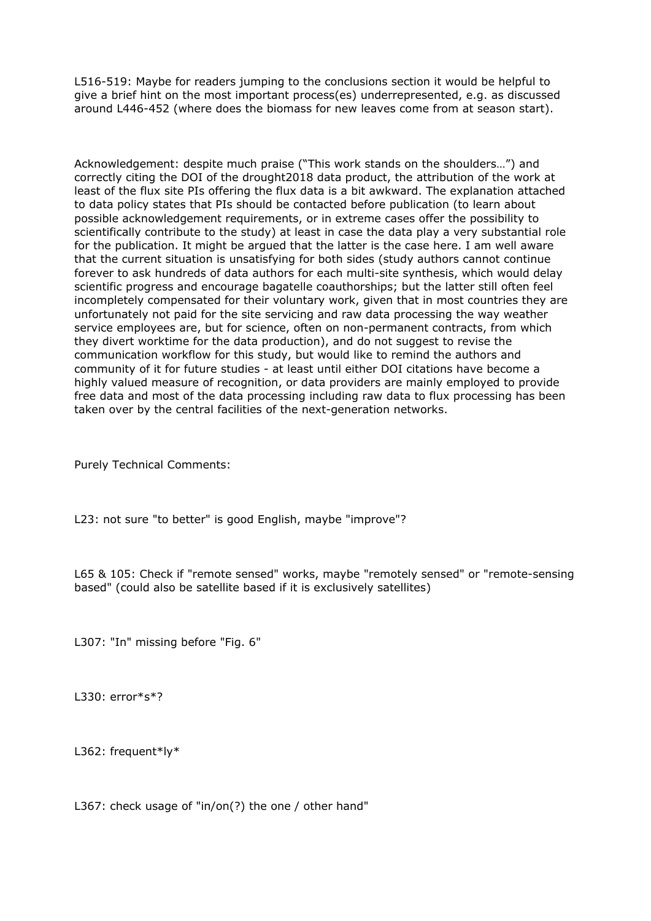L516-519: Maybe for readers jumping to the conclusions section it would be helpful to give a brief hint on the most important process(es) underrepresented, e.g. as discussed around L446-452 (where does the biomass for new leaves come from at season start).

Acknowledgement: despite much praise ("This work stands on the shoulders…") and correctly citing the DOI of the drought2018 data product, the attribution of the work at least of the flux site PIs offering the flux data is a bit awkward. The explanation attached to data policy states that PIs should be contacted before publication (to learn about possible acknowledgement requirements, or in extreme cases offer the possibility to scientifically contribute to the study) at least in case the data play a very substantial role for the publication. It might be argued that the latter is the case here. I am well aware that the current situation is unsatisfying for both sides (study authors cannot continue forever to ask hundreds of data authors for each multi-site synthesis, which would delay scientific progress and encourage bagatelle coauthorships; but the latter still often feel incompletely compensated for their voluntary work, given that in most countries they are unfortunately not paid for the site servicing and raw data processing the way weather service employees are, but for science, often on non-permanent contracts, from which they divert worktime for the data production), and do not suggest to revise the communication workflow for this study, but would like to remind the authors and community of it for future studies - at least until either DOI citations have become a highly valued measure of recognition, or data providers are mainly employed to provide free data and most of the data processing including raw data to flux processing has been taken over by the central facilities of the next-generation networks.

Purely Technical Comments:

L23: not sure "to better" is good English, maybe "improve"?

L65 & 105: Check if "remote sensed" works, maybe "remotely sensed" or "remote-sensing based" (could also be satellite based if it is exclusively satellites)

L307: "In" missing before "Fig. 6"

L330: error\*s\*?

L362: frequent\*ly\*

L367: check usage of "in/on(?) the one / other hand"